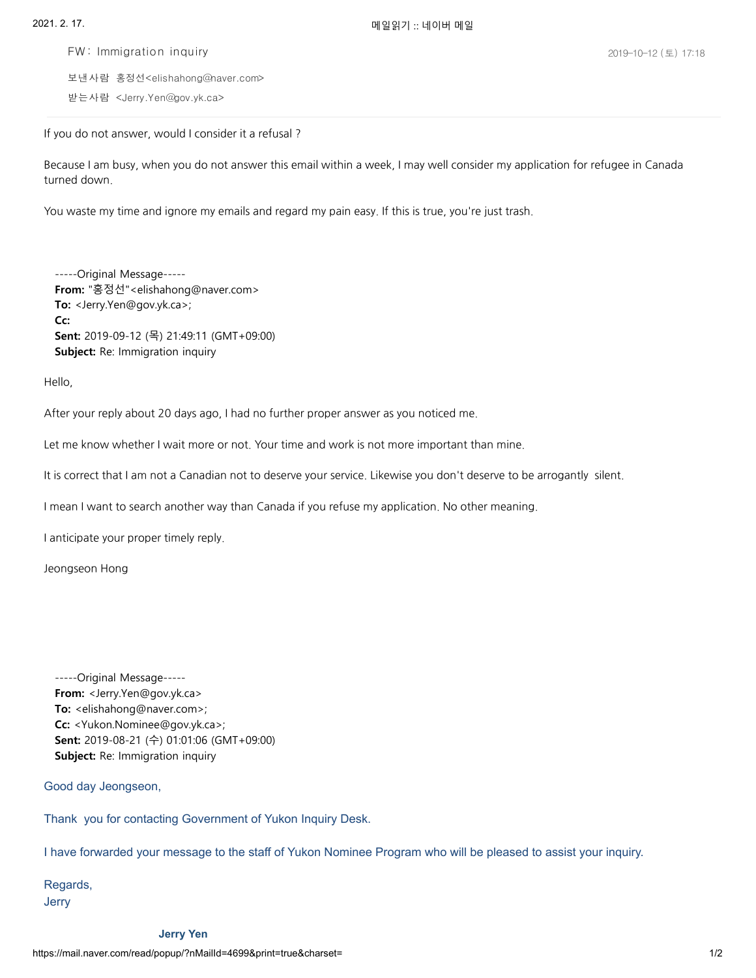FW : Immigration inquiry

보낸사람 홍정선<elishahong@naver.com> <Jerry.Yen@gov.yk.ca> 받는사람

If you do not answer, would I consider it a refusal ?

Because I am busy, when you do not answer this email within a week, I maywell consider myapplication for refugee in Canada turned down.

You waste my time and ignore my emails and regard my pain easy. If this is true, you're just trash.

-----Original Message----- **From:** "홍정선"<elishahong@naver.com> **To:** <Jerry.Yen@gov.yk.ca>; **Cc: Sent:** 2019-09-12 (목) 21:49:11 (GMT+09:00) **Subject:** Re: Immigration inquiry

Hello,

After your replyabout 20 days ago, I had no further proper answer as you noticed me.

Let me know whether I wait more or not. Your time and work is not more important than mine.

It is correct that I am not a Canadian not to deserve your service. Likewise you don't deserve to be arrogantly silent.

I mean I want to search another way than Canada if you refuse my application. No other meaning.

I anticipate your proper timely reply.

Jeongseon Hong

-----Original Message----- **From:** <Jerry.Yen@gov.yk.ca> **To:** <elishahong@naver.com>; **Cc:** <Yukon.Nominee@gov.yk.ca>; **Sent:** 2019-08-21 (수) 01:01:06 (GMT+09:00) **Subject:** Re: Immigration inquiry

Good day Jeongseon,

Thank you for contacting Government of Yukon Inquiry Desk.

I have forwarded your message to the staff of Yukon Nominee Program who will be pleased to assist your inquiry.

Regards, Jerry